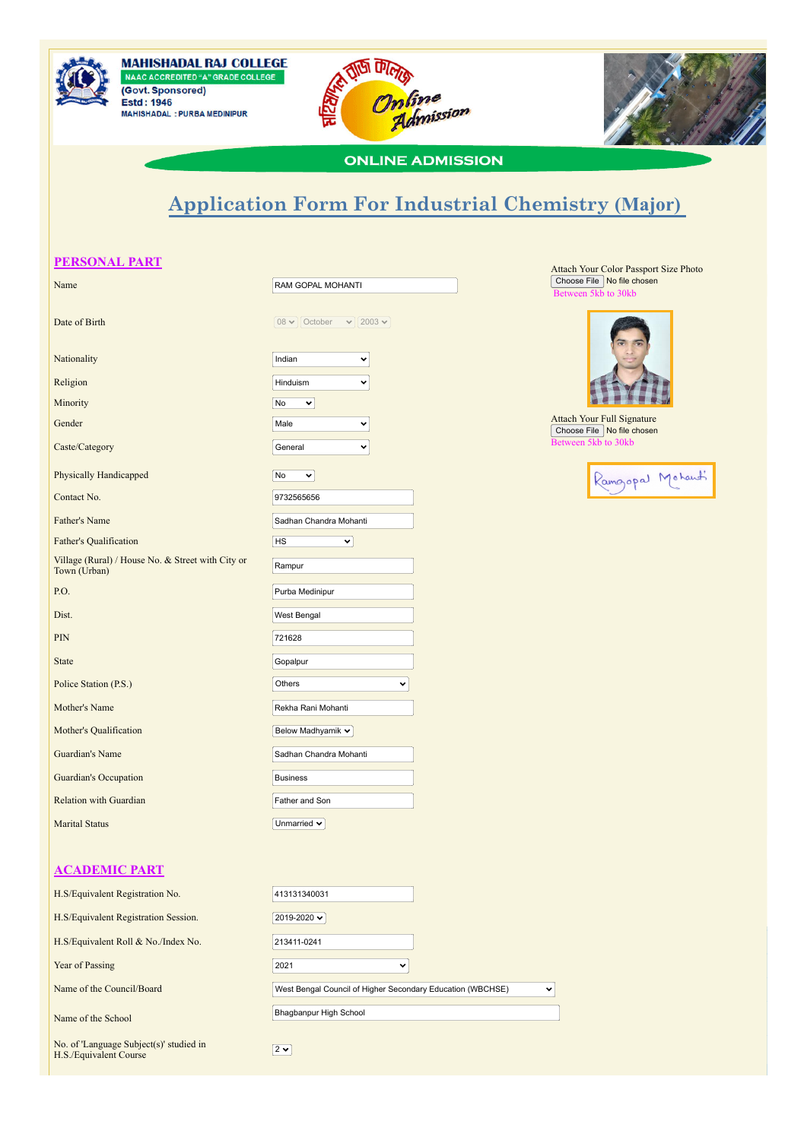





## **ONLINE ADMISSION**

## **Application Form For Industrial Chemistry (Major)**

| <b>PERSONAL PART</b>                                              |                                           |  |  |  |
|-------------------------------------------------------------------|-------------------------------------------|--|--|--|
| Name                                                              | RAM GOPAL MOHANTI                         |  |  |  |
| Date of Birth                                                     | $08 \vee$ October<br>$\vee$ 2003 $\times$ |  |  |  |
| Nationality                                                       | Indian<br>$\checkmark$                    |  |  |  |
| Religion                                                          | Hinduism<br>v                             |  |  |  |
| Minority                                                          | No<br>×.                                  |  |  |  |
| Gender                                                            | Male<br>v                                 |  |  |  |
| Caste/Category                                                    | General<br>$\checkmark$                   |  |  |  |
| Physically Handicapped                                            | No<br>×                                   |  |  |  |
| Contact No.                                                       | 9732565656                                |  |  |  |
| Father's Name                                                     | Sadhan Chandra Mohanti                    |  |  |  |
| <b>Father's Qualification</b>                                     | HS<br>$\checkmark$                        |  |  |  |
| Village (Rural) / House No. & Street with City or<br>Town (Urban) | Rampur                                    |  |  |  |
| P.O.                                                              | Purba Medinipur                           |  |  |  |
| Dist.                                                             | West Bengal                               |  |  |  |
| PIN                                                               | 721628                                    |  |  |  |
| <b>State</b>                                                      | Gopalpur                                  |  |  |  |
| Police Station (P.S.)                                             | Others<br>v                               |  |  |  |
| Mother's Name                                                     | Rekha Rani Mohanti                        |  |  |  |
| Mother's Qualification                                            | Below Madhyamik Y                         |  |  |  |
| Guardian's Name                                                   | Sadhan Chandra Mohanti                    |  |  |  |
| Guardian's Occupation                                             | <b>Business</b>                           |  |  |  |
| Relation with Guardian                                            | Father and Son                            |  |  |  |
| <b>Marital Status</b>                                             | Unmarried $\sim$                          |  |  |  |
|                                                                   |                                           |  |  |  |
| <b>ACADEMIC PART</b>                                              |                                           |  |  |  |
| H.S/Equivalent Registration No.                                   | 413131340031                              |  |  |  |
| H.S/Equivalent Registration Session.                              | 2019-2020 v                               |  |  |  |
| H.S/Equivalent Roll & No./Index No.                               | 213411-0241                               |  |  |  |
| Year of Passing                                                   | 2021<br>$\checkmark$                      |  |  |  |
|                                                                   |                                           |  |  |  |

Name of the Council/Board West Bengal Council of Higher Secondary Education (WBCHSE)

Name of the School Bhagbanpur High School Bhagbanpur High School

Attach Your Color Passport Size Photo Choose File No file chosen to 30kb



Attach Your Full Signature Choose File No file chosen Between 5kb to 30kb

 $\overline{\mathbf{v}}$ 



| No. of 'Language Subject(s)' studied in | 2, |
|-----------------------------------------|----|
| H.S./Equivalent Course                  |    |
|                                         |    |